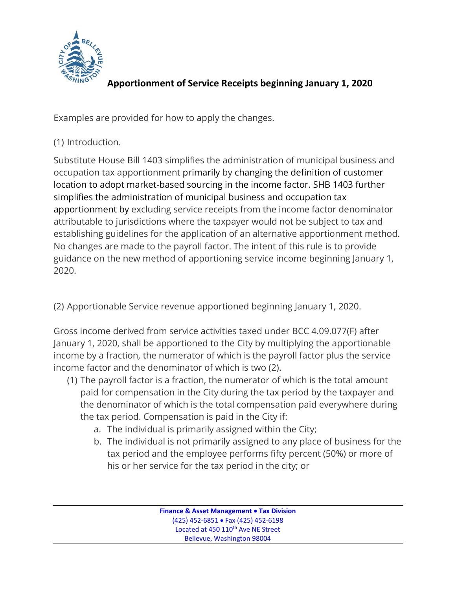

## **Apportionment of Service Receipts beginning January 1, 2020**

Examples are provided for how to apply the changes.

## (1) Introduction.

Substitute House Bill 1403 simplifies the administration of municipal business and occupation tax apportionment primarily by changing the definition of customer location to adopt market-based sourcing in the income factor. SHB 1403 further simplifies the administration of municipal business and occupation tax apportionment by excluding service receipts from the income factor denominator attributable to jurisdictions where the taxpayer would not be subject to tax and establishing guidelines for the application of an alternative apportionment method. No changes are made to the payroll factor. The intent of this rule is to provide guidance on the new method of apportioning service income beginning January 1, 2020.

(2) Apportionable Service revenue apportioned beginning January 1, 2020.

Gross income derived from service activities taxed under BCC 4.09.077(F) after January 1, 2020, shall be apportioned to the City by multiplying the apportionable income by a fraction, the numerator of which is the payroll factor plus the service income factor and the denominator of which is two (2).

- (1) The payroll factor is a fraction, the numerator of which is the total amount paid for compensation in the City during the tax period by the taxpayer and the denominator of which is the total compensation paid everywhere during the tax period. Compensation is paid in the City if:
	- a. The individual is primarily assigned within the City;
	- b. The individual is not primarily assigned to any place of business for the tax period and the employee performs fifty percent (50%) or more of his or her service for the tax period in the city; or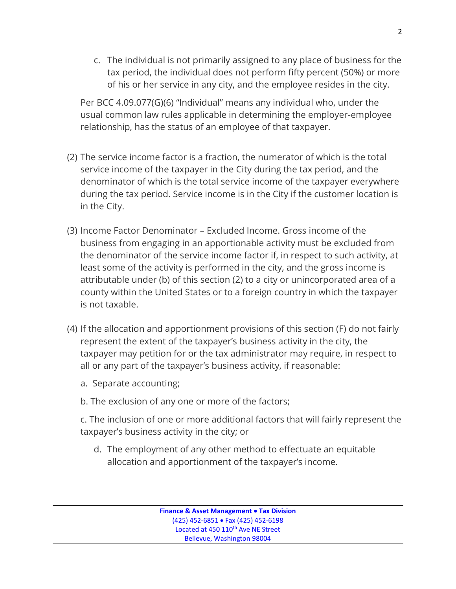c. The individual is not primarily assigned to any place of business for the tax period, the individual does not perform fifty percent (50%) or more of his or her service in any city, and the employee resides in the city.

Per BCC 4.09.077(G)(6) "Individual" means any individual who, under the usual common law rules applicable in determining the employer-employee relationship, has the status of an employee of that taxpayer.

- (2) The service income factor is a fraction, the numerator of which is the total service income of the taxpayer in the City during the tax period, and the denominator of which is the total service income of the taxpayer everywhere during the tax period. Service income is in the City if the customer location is in the City.
- (3) Income Factor Denominator Excluded Income. Gross income of the business from engaging in an apportionable activity must be excluded from the denominator of the service income factor if, in respect to such activity, at least some of the activity is performed in the city, and the gross income is attributable under (b) of this section (2) to a city or unincorporated area of a county within the United States or to a foreign country in which the taxpayer is not taxable.
- (4) If the allocation and apportionment provisions of this section (F) do not fairly represent the extent of the taxpayer's business activity in the city, the taxpayer may petition for or the tax administrator may require, in respect to all or any part of the taxpayer's business activity, if reasonable:
	- a. Separate accounting;
	- b. The exclusion of any one or more of the factors;
	- c. The inclusion of one or more additional factors that will fairly represent the taxpayer's business activity in the city; or
		- d. The employment of any other method to effectuate an equitable allocation and apportionment of the taxpayer's income.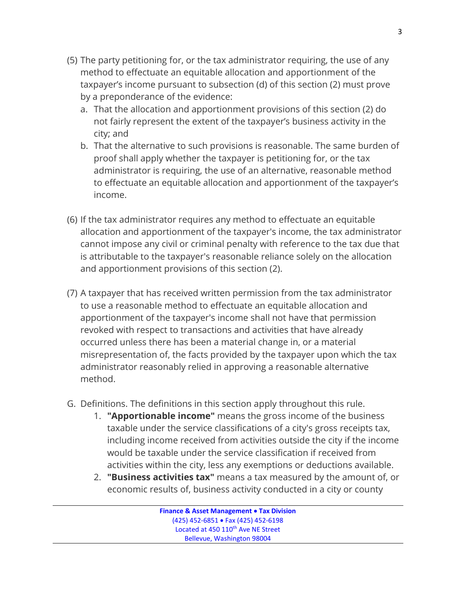- (5) The party petitioning for, or the tax administrator requiring, the use of any method to effectuate an equitable allocation and apportionment of the taxpayer's income pursuant to subsection (d) of this section (2) must prove by a preponderance of the evidence:
	- a. That the allocation and apportionment provisions of this section (2) do not fairly represent the extent of the taxpayer's business activity in the city; and
	- b. That the alternative to such provisions is reasonable. The same burden of proof shall apply whether the taxpayer is petitioning for, or the tax administrator is requiring, the use of an alternative, reasonable method to effectuate an equitable allocation and apportionment of the taxpayer's income.
- (6) If the tax administrator requires any method to effectuate an equitable allocation and apportionment of the taxpayer's income, the tax administrator cannot impose any civil or criminal penalty with reference to the tax due that is attributable to the taxpayer's reasonable reliance solely on the allocation and apportionment provisions of this section (2).
- (7) A taxpayer that has received written permission from the tax administrator to use a reasonable method to effectuate an equitable allocation and apportionment of the taxpayer's income shall not have that permission revoked with respect to transactions and activities that have already occurred unless there has been a material change in, or a material misrepresentation of, the facts provided by the taxpayer upon which the tax administrator reasonably relied in approving a reasonable alternative method.
- G. Definitions. The definitions in this section apply throughout this rule.
	- 1. **"Apportionable income"** means the gross income of the business taxable under the service classifications of a city's gross receipts tax, including income received from activities outside the city if the income would be taxable under the service classification if received from activities within the city, less any exemptions or deductions available.
	- 2. **"Business activities tax"** means a tax measured by the amount of, or economic results of, business activity conducted in a city or county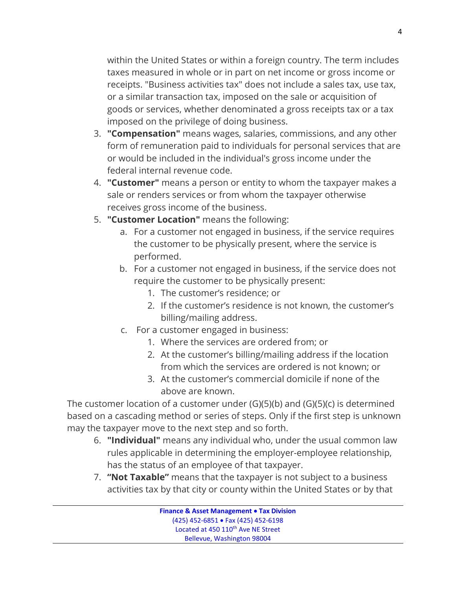within the United States or within a foreign country. The term includes taxes measured in whole or in part on net income or gross income or receipts. "Business activities tax" does not include a sales tax, use tax, or a similar transaction tax, imposed on the sale or acquisition of goods or services, whether denominated a gross receipts tax or a tax imposed on the privilege of doing business.

- 3. **"Compensation"** means wages, salaries, commissions, and any other form of remuneration paid to individuals for personal services that are or would be included in the individual's gross income under the federal internal revenue code.
- 4. **"Customer"** means a person or entity to whom the taxpayer makes a sale or renders services or from whom the taxpayer otherwise receives gross income of the business.
- 5. **"Customer Location"** means the following:
	- a. For a customer not engaged in business, if the service requires the customer to be physically present, where the service is performed.
	- b. For a customer not engaged in business, if the service does not require the customer to be physically present:
		- 1. The customer's residence; or
		- 2. If the customer's residence is not known, the customer's billing/mailing address.
	- c. For a customer engaged in business:
		- 1. Where the services are ordered from; or
		- 2. At the customer's billing/mailing address if the location from which the services are ordered is not known; or
		- 3. At the customer's commercial domicile if none of the above are known.

The customer location of a customer under (G)(5)(b) and (G)(5)(c) is determined based on a cascading method or series of steps. Only if the first step is unknown may the taxpayer move to the next step and so forth.

- 6. **"Individual"** means any individual who, under the usual common law rules applicable in determining the employer-employee relationship, has the status of an employee of that taxpayer.
- 7. **"Not Taxable"** means that the taxpayer is not subject to a business activities tax by that city or county within the United States or by that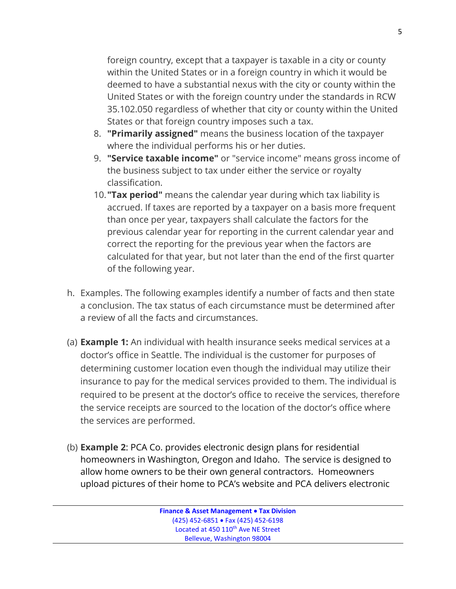foreign country, except that a taxpayer is taxable in a city or county within the United States or in a foreign country in which it would be deemed to have a substantial nexus with the city or county within the United States or with the foreign country under the standards in RCW 35.102.050 regardless of whether that city or county within the United States or that foreign country imposes such a tax.

- 8. **"Primarily assigned"** means the business location of the taxpayer where the individual performs his or her duties.
- 9. **"Service taxable income"** or "service income" means gross income of the business subject to tax under either the service or royalty classification.
- 10.**"Tax period"** means the calendar year during which tax liability is accrued. If taxes are reported by a taxpayer on a basis more frequent than once per year, taxpayers shall calculate the factors for the previous calendar year for reporting in the current calendar year and correct the reporting for the previous year when the factors are calculated for that year, but not later than the end of the first quarter of the following year.
- h. Examples. The following examples identify a number of facts and then state a conclusion. The tax status of each circumstance must be determined after a review of all the facts and circumstances.
- (a) **Example 1:** An individual with health insurance seeks medical services at a doctor's office in Seattle. The individual is the customer for purposes of determining customer location even though the individual may utilize their insurance to pay for the medical services provided to them. The individual is required to be present at the doctor's office to receive the services, therefore the service receipts are sourced to the location of the doctor's office where the services are performed.
- (b) **Example 2**: PCA Co. provides electronic design plans for residential homeowners in Washington, Oregon and Idaho. The service is designed to allow home owners to be their own general contractors. Homeowners upload pictures of their home to PCA's website and PCA delivers electronic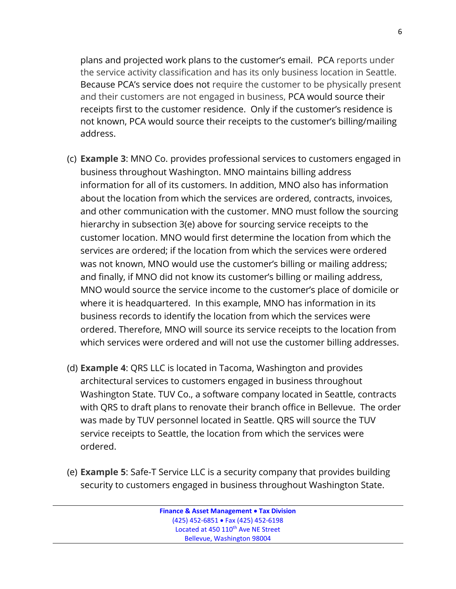plans and projected work plans to the customer's email. PCA reports under the service activity classification and has its only business location in Seattle. Because PCA's service does not require the customer to be physically present and their customers are not engaged in business, PCA would source their receipts first to the customer residence. Only if the customer's residence is not known, PCA would source their receipts to the customer's billing/mailing address.

- (c) **Example 3**: MNO Co. provides professional services to customers engaged in business throughout Washington. MNO maintains billing address information for all of its customers. In addition, MNO also has information about the location from which the services are ordered, contracts, invoices, and other communication with the customer. MNO must follow the sourcing hierarchy in subsection 3(e) above for sourcing service receipts to the customer location. MNO would first determine the location from which the services are ordered; if the location from which the services were ordered was not known, MNO would use the customer's billing or mailing address; and finally, if MNO did not know its customer's billing or mailing address, MNO would source the service income to the customer's place of domicile or where it is headquartered. In this example, MNO has information in its business records to identify the location from which the services were ordered. Therefore, MNO will source its service receipts to the location from which services were ordered and will not use the customer billing addresses.
- (d) **Example 4**: QRS LLC is located in Tacoma, Washington and provides architectural services to customers engaged in business throughout Washington State. TUV Co., a software company located in Seattle, contracts with QRS to draft plans to renovate their branch office in Bellevue. The order was made by TUV personnel located in Seattle. QRS will source the TUV service receipts to Seattle, the location from which the services were ordered.
- (e) **Example 5**: Safe-T Service LLC is a security company that provides building security to customers engaged in business throughout Washington State.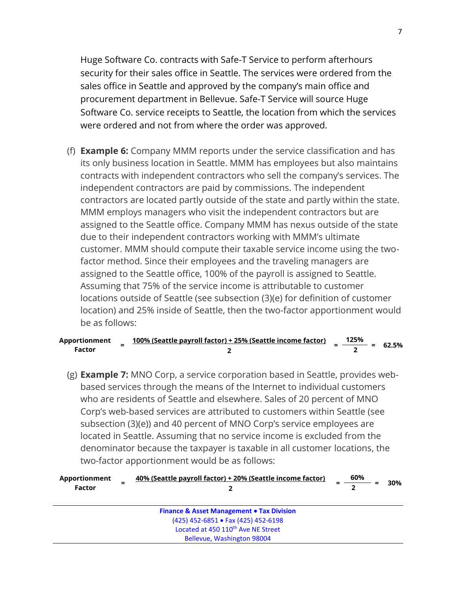Huge Software Co. contracts with Safe-T Service to perform afterhours security for their sales office in Seattle. The services were ordered from the sales office in Seattle and approved by the company's main office and procurement department in Bellevue. Safe-T Service will source Huge Software Co. service receipts to Seattle, the location from which the services were ordered and not from where the order was approved.

(f) **Example 6:** Company MMM reports under the service classification and has its only business location in Seattle. MMM has employees but also maintains contracts with independent contractors who sell the company's services. The independent contractors are paid by commissions. The independent contractors are located partly outside of the state and partly within the state. MMM employs managers who visit the independent contractors but are assigned to the Seattle office. Company MMM has nexus outside of the state due to their independent contractors working with MMM's ultimate customer. MMM should compute their taxable service income using the twofactor method. Since their employees and the traveling managers are assigned to the Seattle office, 100% of the payroll is assigned to Seattle. Assuming that 75% of the service income is attributable to customer locations outside of Seattle (see subsection (3)(e) for definition of customer location) and 25% inside of Seattle, then the two-factor apportionment would be as follows:

| Apportionment |  | 100% (Seattle payroll factor) + 25% (Seattle income factor) | 125%<br>$\frac{1}{1}$ = 62.5% |  |
|---------------|--|-------------------------------------------------------------|-------------------------------|--|
| Factor        |  |                                                             |                               |  |

(g) **Example 7:** MNO Corp, a service corporation based in Seattle, provides webbased services through the means of the Internet to individual customers who are residents of Seattle and elsewhere. Sales of 20 percent of MNO Corp's web-based services are attributed to customers within Seattle (see subsection (3)(e)) and 40 percent of MNO Corp's service employees are located in Seattle. Assuming that no service income is excluded from the denominator because the taxpayer is taxable in all customer locations, the two-factor apportionment would be as follows:

| Apportionment<br>Factor | = | 40% (Seattle payroll factor) + 20% (Seattle income factor) | 60% | 30% |
|-------------------------|---|------------------------------------------------------------|-----|-----|
|                         |   | <b>Finance &amp; Asset Management • Tax Division</b>       |     |     |
|                         |   | (425) 452-6851 • Fax (425) 452-6198                        |     |     |
|                         |   | Located at 450 110 <sup>th</sup> Ave NE Street             |     |     |
|                         |   | Bellevue, Washington 98004                                 |     |     |
|                         |   |                                                            |     |     |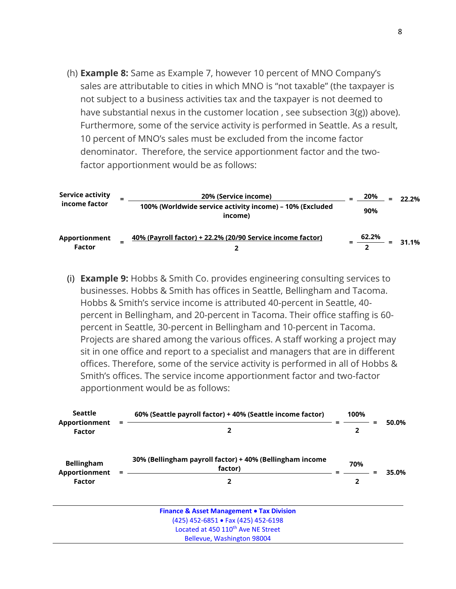(h) **Example 8:** Same as Example 7, however 10 percent of MNO Company's sales are attributable to cities in which MNO is "not taxable" (the taxpayer is not subject to a business activities tax and the taxpayer is not deemed to have substantial nexus in the customer location , see subsection 3(g)) above). Furthermore, some of the service activity is performed in Seattle. As a result, 10 percent of MNO's sales must be excluded from the income factor denominator. Therefore, the service apportionment factor and the twofactor apportionment would be as follows:

| <b>Service activity</b><br>income factor | 20% (Service income)<br>100% (Worldwide service activity income) – 10% (Excluded<br>income) | 20%<br>$\equiv$<br>90% | 22.2% |
|------------------------------------------|---------------------------------------------------------------------------------------------|------------------------|-------|
| Apportionment<br><b>Factor</b>           | 40% (Payroll factor) + 22.2% (20/90 Service income factor)                                  | 62.2%<br>=             | 31.1% |

(i) **Example 9:** Hobbs & Smith Co. provides engineering consulting services to businesses. Hobbs & Smith has offices in Seattle, Bellingham and Tacoma. Hobbs & Smith's service income is attributed 40-percent in Seattle, 40 percent in Bellingham, and 20-percent in Tacoma. Their office staffing is 60 percent in Seattle, 30-percent in Bellingham and 10-percent in Tacoma. Projects are shared among the various offices. A staff working a project may sit in one office and report to a specialist and managers that are in different offices. Therefore, some of the service activity is performed in all of Hobbs & Smith's offices. The service income apportionment factor and two-factor apportionment would be as follows:

| <b>Seattle</b><br>Apportionment<br>Factor    |  | 60% (Seattle payroll factor) + 40% (Seattle income factor)          |  | 100%                |  |       |
|----------------------------------------------|--|---------------------------------------------------------------------|--|---------------------|--|-------|
|                                              |  |                                                                     |  | 2                   |  | 50.0% |
| <b>Bellingham</b><br>Apportionment<br>Factor |  | 30% (Bellingham payroll factor) + 40% (Bellingham income<br>factor) |  | 70%<br>$\mathbf{2}$ |  | 35.0% |
|                                              |  | 2                                                                   |  |                     |  |       |
|                                              |  | <b>Finance &amp; Asset Management . Tax Division</b>                |  |                     |  |       |
|                                              |  | (425) 452-6851 • Fax (425) 452-6198                                 |  |                     |  |       |
|                                              |  | Located at 450 110 <sup>th</sup> Ave NE Street                      |  |                     |  |       |
|                                              |  | Bellevue, Washington 98004                                          |  |                     |  |       |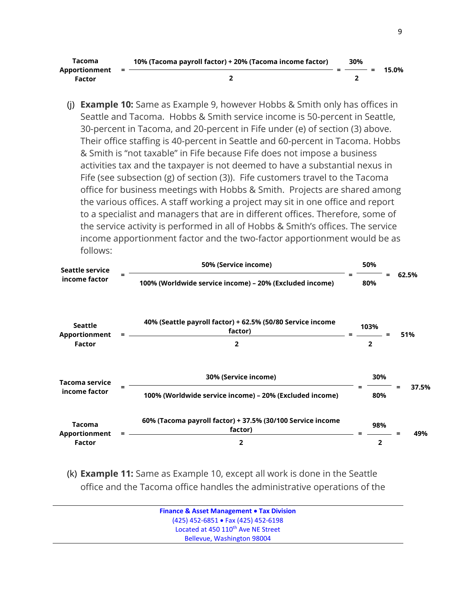| Tacoma<br>Apportionment<br>Factor | = | 10% (Tacoma payroll factor) + 20% (Tacoma income factor) | 30% | 15.0% |
|-----------------------------------|---|----------------------------------------------------------|-----|-------|
|                                   |   |                                                          |     |       |

(j) **Example 10:** Same as Example 9, however Hobbs & Smith only has offices in Seattle and Tacoma. Hobbs & Smith service income is 50-percent in Seattle, 30-percent in Tacoma, and 20-percent in Fife under (e) of section (3) above. Their office staffing is 40-percent in Seattle and 60-percent in Tacoma. Hobbs & Smith is "not taxable" in Fife because Fife does not impose a business activities tax and the taxpayer is not deemed to have a substantial nexus in Fife (see subsection (g) of section (3)). Fife customers travel to the Tacoma office for business meetings with Hobbs & Smith. Projects are shared among the various offices. A staff working a project may sit in one office and report to a specialist and managers that are in different offices. Therefore, some of the service activity is performed in all of Hobbs & Smith's offices. The service income apportionment factor and the two-factor apportionment would be as follows:



(k) **Example 11:** Same as Example 10, except all work is done in the Seattle office and the Tacoma office handles the administrative operations of the

| <b>Finance &amp; Asset Management • Tax Division</b> |  |
|------------------------------------------------------|--|
| $(425)$ 452-6851 • Fax (425) 452-6198                |  |
| Located at 450 110 <sup>th</sup> Ave NE Street       |  |
| Bellevue, Washington 98004                           |  |